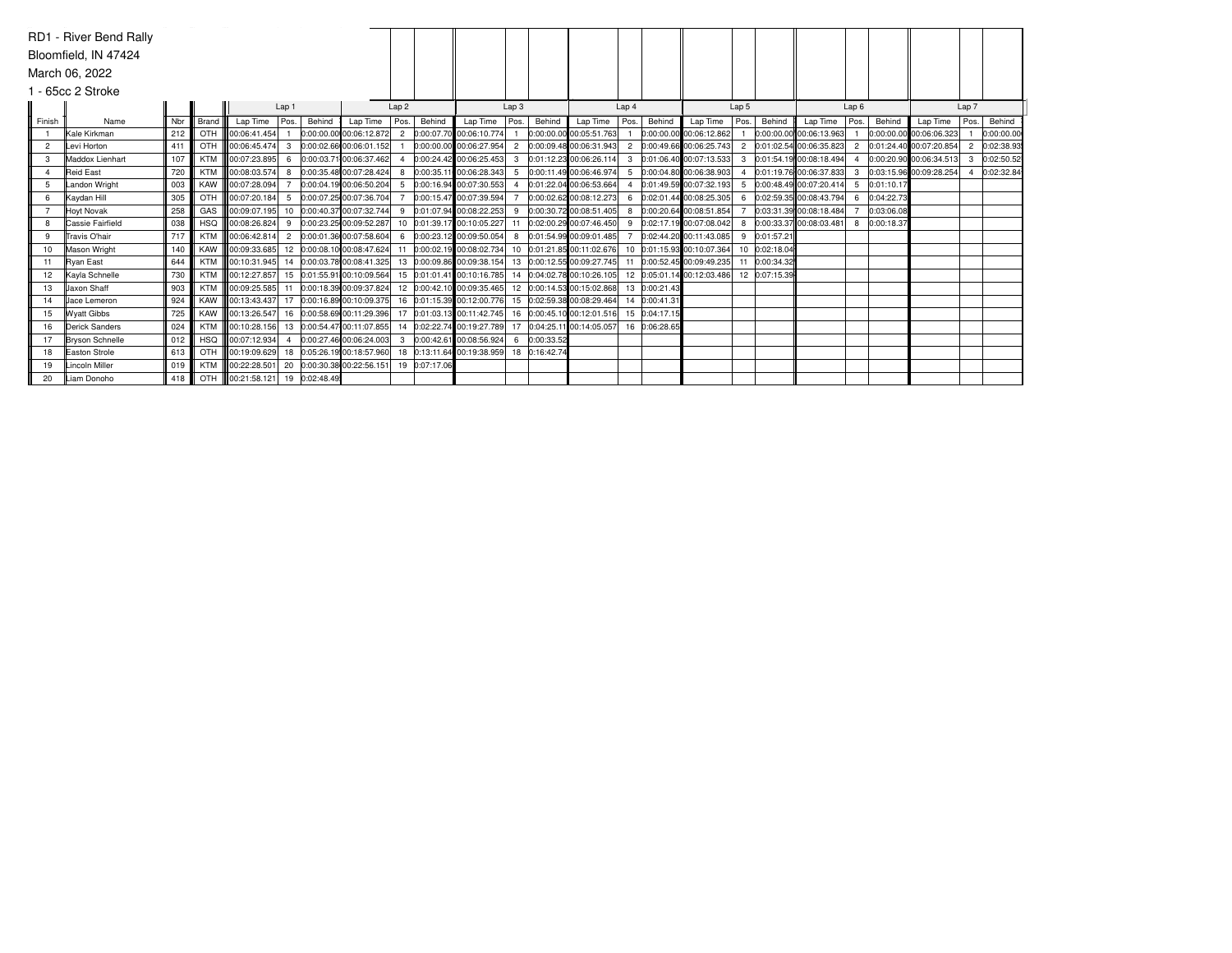|                | RD1 - River Bend Rally<br>Bloomfield, IN 47424 |     |            |                                                                                               |                  |        |                         |                  |        |                                                                           |              |        |                                                                                                  |                  |               |                            |                  |               |                         |                |            |                         |                |            |
|----------------|------------------------------------------------|-----|------------|-----------------------------------------------------------------------------------------------|------------------|--------|-------------------------|------------------|--------|---------------------------------------------------------------------------|--------------|--------|--------------------------------------------------------------------------------------------------|------------------|---------------|----------------------------|------------------|---------------|-------------------------|----------------|------------|-------------------------|----------------|------------|
|                | March 06, 2022                                 |     |            |                                                                                               |                  |        |                         |                  |        |                                                                           |              |        |                                                                                                  |                  |               |                            |                  |               |                         |                |            |                         |                |            |
|                |                                                |     |            |                                                                                               |                  |        |                         |                  |        |                                                                           |              |        |                                                                                                  |                  |               |                            |                  |               |                         |                |            |                         |                |            |
|                | 1 - 65cc 2 Stroke                              |     |            |                                                                                               |                  |        |                         |                  |        |                                                                           |              |        |                                                                                                  |                  |               |                            |                  |               |                         |                |            |                         |                |            |
|                |                                                |     |            |                                                                                               | Lap <sub>1</sub> |        |                         | Lap <sub>2</sub> |        |                                                                           | Lap3         |        |                                                                                                  | Lap <sub>4</sub> |               |                            | Lap <sub>5</sub> |               |                         | Lap6           |            |                         | Lap 7          |            |
| Finish         | Name                                           | Nbr | Brand      | Lap Time                                                                                      | Pos.             | Behind | Lap Time                | Pos.             | Behind | Lap Time                                                                  | Pos.         | Behind | Lap Time                                                                                         | Pos.             | Behind        | Lap Time                   | Pos.             | Behind        | Lap Time                | Pos.           | Behind     | Lap Time                | Pos.           | Behind     |
|                | Kale Kirkman                                   | 212 | OTH        | 00:06:41.454                                                                                  |                  |        |                         |                  |        | $ 0.00:00.00 00:06:12.872 $ 2 $ 0.00:07.70 00:06:10.774 $                 |              |        | 0:00:00.00 00:05:51.763                                                                          |                  |               | 0:00:00.00 00:06:12.862    |                  |               | 0:00:00.00 00:06:13.963 |                |            | 0:00:00.00 00:06:06.323 |                | 0:00:00.00 |
| $\overline{2}$ | Levi Horton                                    | 411 | OTH        | $ 00:06:45.474 $ 3                                                                            |                  |        | 0:00:02.66 00:06:01.152 |                  |        | 0:00:00.00 00:06:27.954                                                   |              |        | 2 0:00:09.48 00:06:31.943                                                                        | $\overline{2}$   |               | 0:00:49.66 00:06:25.743    | $\overline{2}$   |               | 0:01:02.54 00:06:35.823 | $\overline{2}$ |            | 0:01:24.40 00:07:20.854 | $\overline{2}$ | 0:02:38.93 |
| 3              | Maddox Lienhart                                | 107 | <b>KTM</b> | 00:07:23.895 6                                                                                |                  |        | 0:00:03.71 00:06:37.462 | $\overline{4}$   |        | 0:00:24.42 00:06:25.453                                                   | $\mathbf{3}$ |        | 0:01:12.23 00:06:26.114                                                                          | 3                |               | 0:01:06.40 00:07:13.533    | 3                |               | 0:01:54.19 00:08:18.494 |                |            | 0:00:20.90 00:06:34.513 | $\mathbf{3}$   | 0:02:50.52 |
| $\overline{4}$ | <b>Reid East</b>                               | 720 | KTM        |                                                                                               |                  |        | 0:00:35.48 00:07:28.424 | 8                |        | 0:00:35.11 00:06:28.343                                                   | 5            |        | 0:00:11.49 00:06:46.974                                                                          | 5                |               | 0:00:04.80 00:06:38.903    |                  |               | 0:01:19.76 00:06:37.833 | 3              |            | 0:03:15.96 00:09:28.254 |                | 0:02:32.84 |
| .5             | Landon Wright                                  | 003 | KAW        | 00:07:28.094                                                                                  |                  |        | 0:00:04.19 00:06:50.204 | -5               |        | 0:00:16.94 00:07:30.553                                                   |              |        | 0:01:22.04 00:06:53.664                                                                          |                  |               | 0:01:49.59 00:07:32.193    |                  |               | 0:00:48.49 00:07:20.414 | 5              | 0:01:10.17 |                         |                |            |
| 6              | Kaydan Hill                                    | 305 | OTH        | 00:07:20.184 5                                                                                |                  |        | 0:00:07.25 00:07:36.704 |                  |        | 0:00:15.47 00:07:39.594                                                   |              |        | 0:00:02.62 00:08:12.273                                                                          | 6                |               | 0:02:01.44 00:08:25.305    | 6                |               | 0:02:59.35 00:08:43.794 | -6             | 0:04:22.73 |                         |                |            |
|                | <b>Hoyt Novak</b>                              | 258 | GAS        |                                                                                               |                  |        |                         |                  |        | 00:09:07.195 10 0:00:40.37 00:07:32.744 9 0:01:07.94 00:08:22.253         |              |        | 9 0:00:30.72 00:08:51.405                                                                        | 8                |               | 0:00:20.64 00:08:51.854    |                  |               | 0:03:31.39 00:08:18.484 |                | 0:03:06.08 |                         |                |            |
| 8              | Cassie Fairfield                               | 038 | <b>HSQ</b> | 00:08:26.824 9                                                                                |                  |        | 0:00:23.25 00:09:52.287 |                  |        | 10 0:01:39.17 00:10:05.227                                                |              |        | 0:02:00.29 00:07:46.450                                                                          | 9                |               | 0:02:17.19 00:07:08.042    |                  |               | 0:00:33.37 00:08:03.481 | 8              | 0:00:18.37 |                         |                |            |
| 9              | Travis O'hair                                  | 717 | <b>KTM</b> | 00:06:42.814 2                                                                                |                  |        | 0:00:01.36 00:07:58.604 | 6                |        | $0:00:23.12$ 00:09:50.054                                                 |              |        | 8 0:01:54.99 00:09:01.485                                                                        |                  |               | 0:02:44.20 00:11:43.085    | 9                | 0:01:57.21    |                         |                |            |                         |                |            |
| 10             | Mason Wright                                   | 140 |            | KAW   00:09:33.685 12 0:00:08.10 00:08:47.624                                                 |                  |        |                         | 11               |        |                                                                           |              |        | 0:00:02.19 00:08:02.734 10 0:01:21.85 00:11:02.676                                               |                  |               | 10 0:01:15.93 00:10:07.364 | 10               | 0:02:18.04    |                         |                |            |                         |                |            |
| 11             | <b>Ryan East</b>                               | 644 | KTM        |                                                                                               |                  |        |                         |                  |        |                                                                           |              |        | 13 0:00:09.86 00:09:38.154 13 0:00:12.55 00:09:27.745                                            | 11               |               | 0:00:52.45 00:09:49.235    |                  | 0:00:34.32    |                         |                |            |                         |                |            |
| 12             | Kayla Schnelle                                 | 730 |            | 00:12:27.857 15 0:01:55.91 00:10:09.564                                                       |                  |        |                         |                  |        |                                                                           |              |        | 15 0:01:01.41 00:10:16.785 14 0:04:02.78 00:10:26.105                                            |                  |               | 12 0:05:01.14 00:12:03.486 |                  | 12 0:07:15.39 |                         |                |            |                         |                |            |
| 13             | <b>Jaxon Shaff</b>                             | 903 | KTM        | <b>III</b> 00:09:25.585 11                                                                    |                  |        |                         |                  |        |                                                                           |              |        | $[0.00:18.39]00:09:37.824]$ 12 $[0.00:42.10]$ 00:09:35.465 12 $[0.00:14.53]00:15:02.868]$        |                  | 13 0:00:21.43 |                            |                  |               |                         |                |            |                         |                |            |
| 14             | <b>Jace Lemeron</b>                            | 924 | KAW        | 00:13:43.437 17 0:00:16.89 00:10:09.375 16 0:01:15.39 00:12:00.776 15 0:02:59.38 00:08:29.464 |                  |        |                         |                  |        |                                                                           |              |        |                                                                                                  |                  | 14 0:00:41.3  |                            |                  |               |                         |                |            |                         |                |            |
| 15             | <b>Wyatt Gibbs</b>                             | 725 | <b>KAW</b> | 00:13:26.547 16 0:00:58.69 00:11:29.396                                                       |                  |        |                         |                  |        |                                                                           |              |        | 17 0:01:03.13 00:11:42.745 16 0:00:45.10 00:12:01.516                                            |                  | 15 0:04:17.15 |                            |                  |               |                         |                |            |                         |                |            |
| 16             | Derick Sanders                                 | 024 | KTM        |                                                                                               |                  |        |                         |                  |        |                                                                           |              |        | 00:10:28.156  13 0:00:54.47 00:11:07.855  14 0:02:22.74 00:19:27.789  17 0:04:25.11 00:14:05.057 |                  | 16 0:06:28.65 |                            |                  |               |                         |                |            |                         |                |            |
| 17             | <b>Bryson Schnelle</b>                         | 012 | HSQ        | $\parallel$ 00:07:12.934 4                                                                    |                  |        |                         |                  |        | $ 0:00:27.46 00:06:24.003 $ 3 $ 0:00:42.61 00:08:56.924 $ 6 $ 0:00:33.52$ |              |        |                                                                                                  |                  |               |                            |                  |               |                         |                |            |                         |                |            |
| 18             | Easton Strole                                  | 613 | OTH        | 18 00:19:09.629 18 0:05:26.19 00:18:57.960 18 0:13:11.64 00:19:38.959 18 0:16:42.74           |                  |        |                         |                  |        |                                                                           |              |        |                                                                                                  |                  |               |                            |                  |               |                         |                |            |                         |                |            |
| 19             | Lincoln Miller                                 | 019 | KTM        | 100:22:28.501 20 0:00:30.38 00:22:56.151 19 0:07:17.06                                        |                  |        |                         |                  |        |                                                                           |              |        |                                                                                                  |                  |               |                            |                  |               |                         |                |            |                         |                |            |
| 20             | Liam Donoho                                    | 418 |            | OTH 00:21:58.121 19 0:02:48.49                                                                |                  |        |                         |                  |        |                                                                           |              |        |                                                                                                  |                  |               |                            |                  |               |                         |                |            |                         |                |            |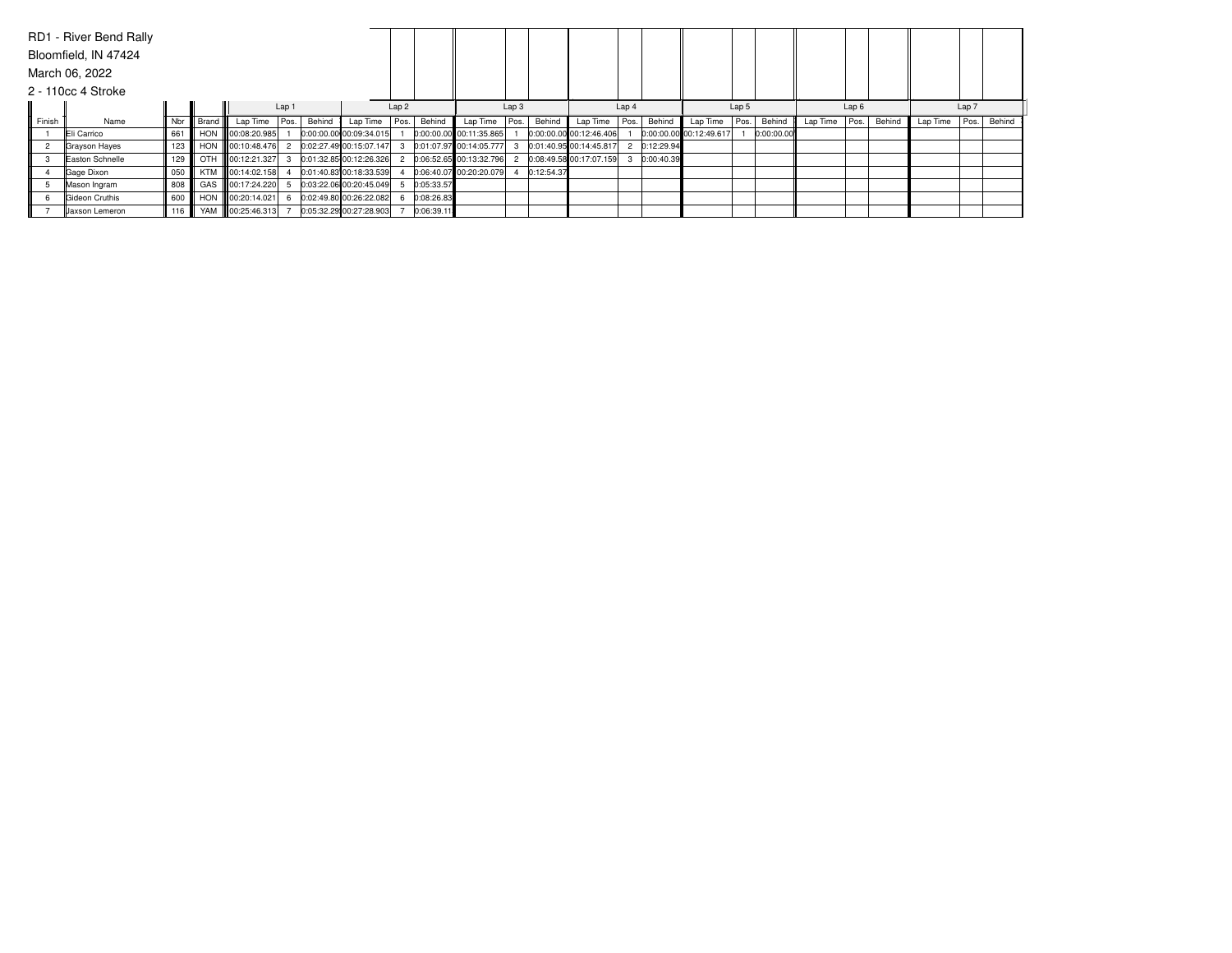|        | RD1 - River Bend Rally |       |           |                    |       |        |                         |      |            |                         |                  |            |                         |                  |            |                         |       |            |          |      |        |          |       |        |
|--------|------------------------|-------|-----------|--------------------|-------|--------|-------------------------|------|------------|-------------------------|------------------|------------|-------------------------|------------------|------------|-------------------------|-------|------------|----------|------|--------|----------|-------|--------|
|        | Bloomfield, IN 47424   |       |           |                    |       |        |                         |      |            |                         |                  |            |                         |                  |            |                         |       |            |          |      |        |          |       |        |
|        | March 06, 2022         |       |           |                    |       |        |                         |      |            |                         |                  |            |                         |                  |            |                         |       |            |          |      |        |          |       |        |
|        | 2 - 110cc 4 Stroke     |       |           |                    |       |        |                         |      |            |                         |                  |            |                         |                  |            |                         |       |            |          |      |        |          |       |        |
|        |                        |       |           |                    | Lap 1 |        |                         | Lap2 |            |                         | Lap <sub>3</sub> |            |                         | Lap <sub>4</sub> |            |                         | Lap 5 |            |          | Lap6 |        |          | Lap 7 |        |
| Finish | Name                   | Nbr   | l Brand I | Lap Time           | Pos.  | Behind | Lap Time                | Pos. | Behind     | Lap Time                | Pos.             | Behind     | Lap Time                | Pos.             | Behind     | Lap Time                | Pos.  | Behind     | Lap Time | Pos. | Behind | Lap Time | Pos.  | Behind |
|        | Eli Carrico            | 661   |           | HON 00:08:20.985   |       |        | 0:00:00.00 00:09:34.015 |      |            | 0:00:00.00 00:11:35.865 |                  |            | 0:00:00.00 00:12:46.406 |                  |            | 0:00:00.00 00:12:49.617 |       | 0:00:00.00 |          |      |        |          |       |        |
|        | Grayson Hayes          | 123   |           | HON 100:10:48.476  |       |        | 0:02:27.49 00:15:07.147 |      |            | 0:01:07.97 00:14:05.777 |                  |            | 0:01:40.95 00:14:45.817 |                  | 0:12:29.94 |                         |       |            |          |      |        |          |       |        |
|        | Easton Schnelle        | 129   |           | OTH 100:12:21.327  |       |        | 0:01:32.85 00:12:26.326 |      |            | 0:06:52.65 00:13:32.796 |                  |            | 0:08:49.58 00:17:07.159 |                  | 0:00:40.39 |                         |       |            |          |      |        |          |       |        |
|        | Gage Dixon             | 050   |           | KTM 100:14:02.158  |       |        | 0:01:40.83 00:18:33.539 |      |            | 0:06:40.07 00:20:20.079 |                  | 0:12:54.37 |                         |                  |            |                         |       |            |          |      |        |          |       |        |
|        | Mason Ingram           | 808   |           | GAS 100:17:24.220  |       |        | 0:03:22.06 00:20:45.049 |      | 0:05:33.57 |                         |                  |            |                         |                  |            |                         |       |            |          |      |        |          |       |        |
|        | Gideon Cruthis         | 600   |           | HON 00:20:14.021   |       |        | 0:02:49.80 00:26:22.082 |      | 0:08:26.83 |                         |                  |            |                         |                  |            |                         |       |            |          |      |        |          |       |        |
|        | <b>Jaxson Lemeron</b>  | $116$ |           | YAM   00:25:46.313 |       |        | 0:05:32.29 00:27:28.903 |      | 0:06:39.11 |                         |                  |            |                         |                  |            |                         |       |            |          |      |        |          |       |        |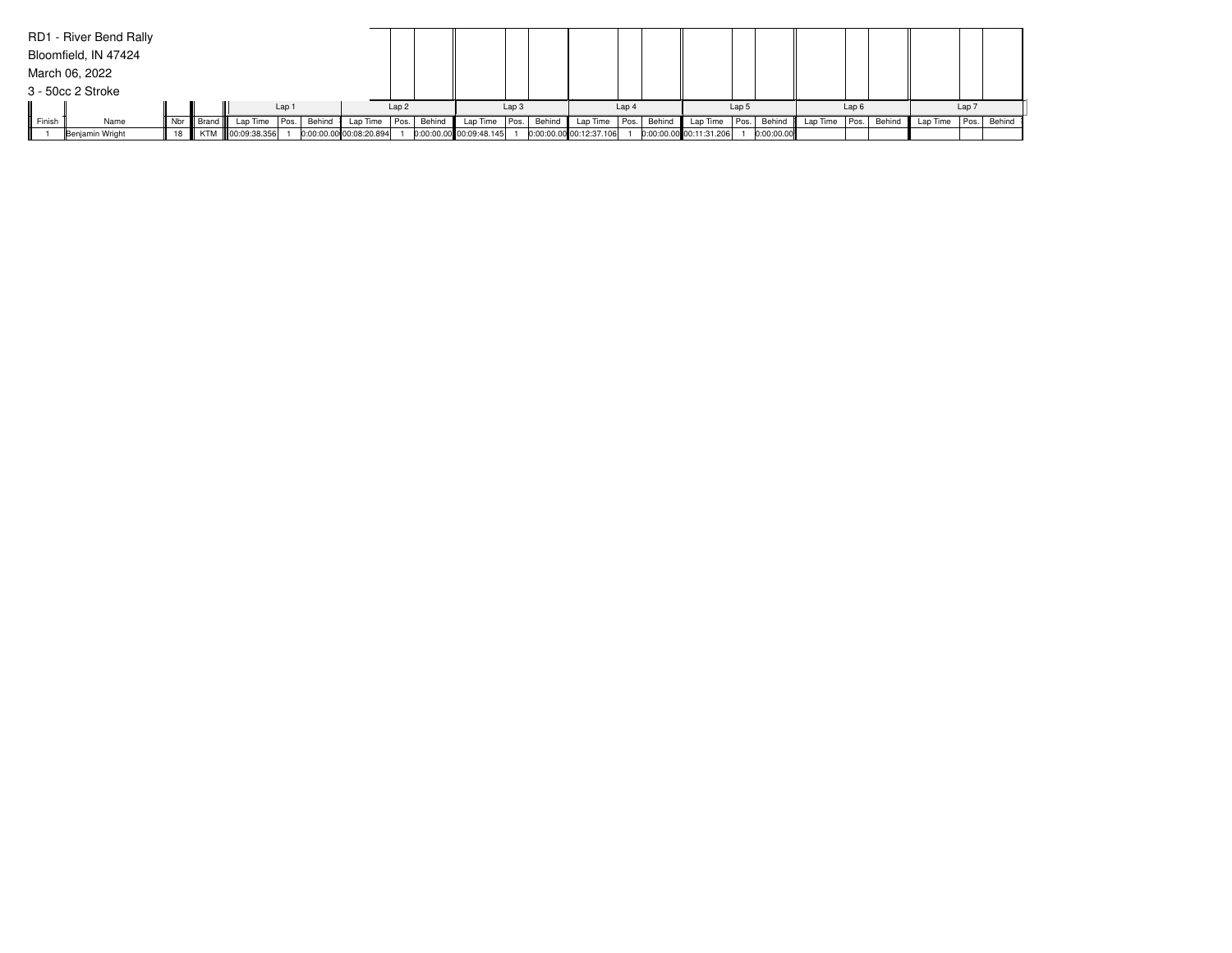|        | RD1 - River Bend Rally |    |             |                  |                  |        |                         |                  |        |                         |                  |        |                         |                  |        |                         |       |             |               |                  |        |          |       |             |
|--------|------------------------|----|-------------|------------------|------------------|--------|-------------------------|------------------|--------|-------------------------|------------------|--------|-------------------------|------------------|--------|-------------------------|-------|-------------|---------------|------------------|--------|----------|-------|-------------|
|        | Bloomfield, IN 47424   |    |             |                  |                  |        |                         |                  |        |                         |                  |        |                         |                  |        |                         |       |             |               |                  |        |          |       |             |
|        | March 06, 2022         |    |             |                  |                  |        |                         |                  |        |                         |                  |        |                         |                  |        |                         |       |             |               |                  |        |          |       |             |
|        | 3 - 50cc 2 Stroke      |    |             |                  |                  |        |                         |                  |        |                         |                  |        |                         |                  |        |                         |       |             |               |                  |        |          |       |             |
|        |                        |    |             |                  | Lap <sub>1</sub> |        |                         | Lap <sub>2</sub> |        |                         | Lap <sub>3</sub> |        |                         | Lap <sub>4</sub> |        |                         | Lap 5 |             |               | Lap <sub>6</sub> |        |          | Lap 7 |             |
| Finish | Name                   |    | Nbr   Brand | Lap Time         | Pos.             | Behind | Lap Time Pos.           |                  | Behind | Lap Time   Pos.         |                  | Behind | Lap Time                | Pos.             | Behind | Lap Time                |       | Pos. Behind | Lap Time Pos. |                  | Behind | Lap Time |       | Pos. Behind |
|        | Benjamin Wright        | 18 |             | KTM 00:09:38.356 |                  |        | 0:00:00.00 00:08:20.894 |                  |        | 0:00:00.00 00:09:48.145 |                  |        | 0:00:00.00 00:12:37.106 |                  |        | 0:00:00.00 00:11:31.206 |       | 0:00:00.00  |               |                  |        |          |       |             |